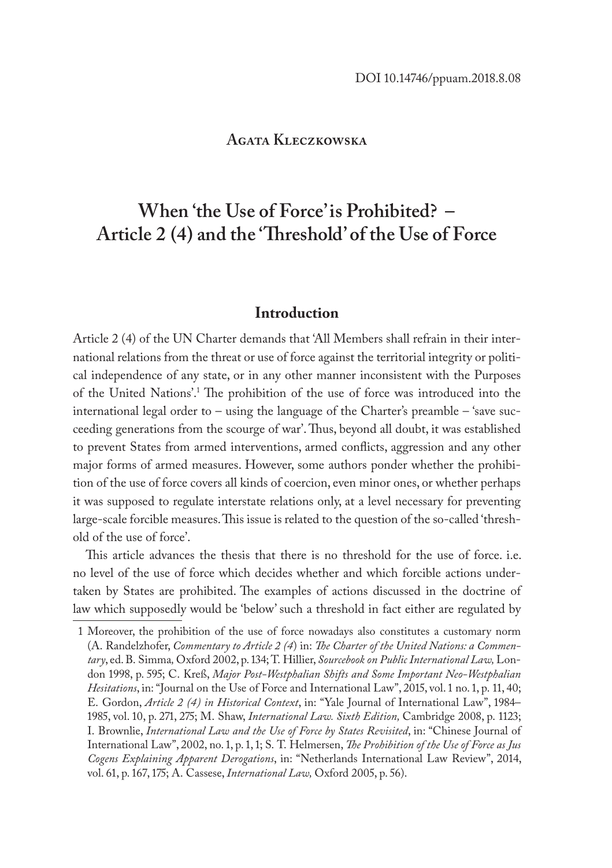# **Agata Kleczkowska**

# **When 'the Use of Force' is Prohibited? – Article 2 (4) and the 'Threshold' of the Use of Force**

# **Introduction**

Article 2 (4) of the UN Charter demands that 'All Members shall refrain in their international relations from the threat or use of force against the territorial integrity or political independence of any state, or in any other manner inconsistent with the Purposes of the United Nations'.<sup>1</sup> The prohibition of the use of force was introduced into the international legal order to – using the language of the Charter's preamble – 'save succeeding generations from the scourge of war'. Thus, beyond all doubt, it was established to prevent States from armed interventions, armed conflicts, aggression and any other major forms of armed measures. However, some authors ponder whether the prohibition of the use of force covers all kinds of coercion, even minor ones, or whether perhaps it was supposed to regulate interstate relations only, at a level necessary for preventing large-scale forcible measures. This issue is related to the question of the so-called 'threshold of the use of force'.

This article advances the thesis that there is no threshold for the use of force. i.e. no level of the use of force which decides whether and which forcible actions undertaken by States are prohibited. The examples of actions discussed in the doctrine of law which supposedly would be 'below' such a threshold in fact either are regulated by

<sup>1</sup> Moreover, the prohibition of the use of force nowadays also constitutes a customary norm (A. Randelzhofer, *Commentary to Article 2 (4*) in: *The Charter of the United Nations: a Commentary*, ed. B. Simma*,* Oxford 2002, p. 134; T. Hillier, *Sourcebook on Public International Law,* London 1998, p. 595; C. Kreß, *Major Post-Westphalian Shifts and Some Important Neo-Westphalian Hesitations*, in: "Journal on the Use of Force and International Law", 2015, vol. 1 no. 1, p. 11, 40; E. Gordon, *Article 2 (4) in Historical Context*, in: "Yale Journal of International Law", 1984– 1985, vol. 10, p. 271, 275; M. Shaw, *International Law. Sixth Edition,* Cambridge 2008, p. 1123; I. Brownlie, *International Law and the Use of Force by States Revisited*, in: "Chinese Journal of International Law", 2002, no. 1, p. 1, 1; S. T. Helmersen, *The Prohibition of the Use of Force as Jus Cogens Explaining Apparent Derogations*, in: "Netherlands International Law Review", 2014, vol. 61, p. 167, 175; A. Cassese, *International Law,* Oxford 2005, p. 56).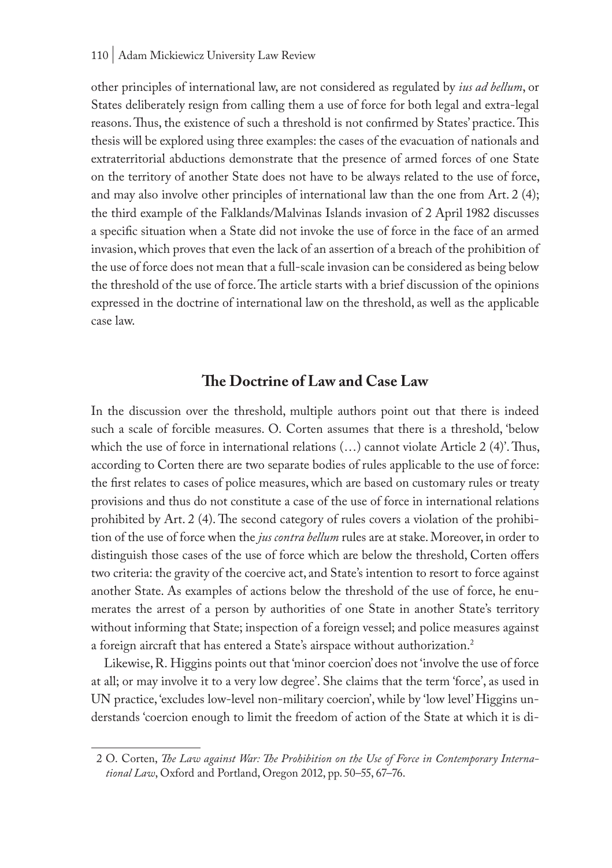other principles of international law, are not considered as regulated by *ius ad bellum*, or States deliberately resign from calling them a use of force for both legal and extra-legal reasons. Thus, the existence of such a threshold is not confirmed by States' practice. This thesis will be explored using three examples: the cases of the evacuation of nationals and extraterritorial abductions demonstrate that the presence of armed forces of one State on the territory of another State does not have to be always related to the use of force, and may also involve other principles of international law than the one from Art. 2 (4); the third example of the Falklands/Malvinas Islands invasion of 2 April 1982 discusses a specific situation when a State did not invoke the use of force in the face of an armed invasion, which proves that even the lack of an assertion of a breach of the prohibition of the use of force does not mean that a full-scale invasion can be considered as being below the threshold of the use of force. The article starts with a brief discussion of the opinions expressed in the doctrine of international law on the threshold, as well as the applicable case law.

# **The Doctrine of Law and Case Law**

In the discussion over the threshold, multiple authors point out that there is indeed such a scale of forcible measures. O. Corten assumes that there is a threshold, 'below which the use of force in international relations (…) cannot violate Article 2 (4)'. Thus, according to Corten there are two separate bodies of rules applicable to the use of force: the first relates to cases of police measures, which are based on customary rules or treaty provisions and thus do not constitute a case of the use of force in international relations prohibited by Art. 2 (4). The second category of rules covers a violation of the prohibition of the use of force when the *jus contra bellum* rules are at stake. Moreover, in order to distinguish those cases of the use of force which are below the threshold, Corten offers two criteria: the gravity of the coercive act, and State's intention to resort to force against another State. As examples of actions below the threshold of the use of force, he enumerates the arrest of a person by authorities of one State in another State's territory without informing that State; inspection of a foreign vessel; and police measures against a foreign aircraft that has entered a State's airspace without authorization.<sup>2</sup>

Likewise, R. Higgins points out that 'minor coercion' does not 'involve the use of force at all; or may involve it to a very low degree'. She claims that the term 'force', as used in UN practice, 'excludes low-level non-military coercion', while by 'low level' Higgins understands 'coercion enough to limit the freedom of action of the State at which it is di-

<sup>2</sup> O. Corten, *The Law against War: The Prohibition on the Use of Force in Contemporary International Law*, Oxford and Portland, Oregon 2012, pp. 50–55, 67–76.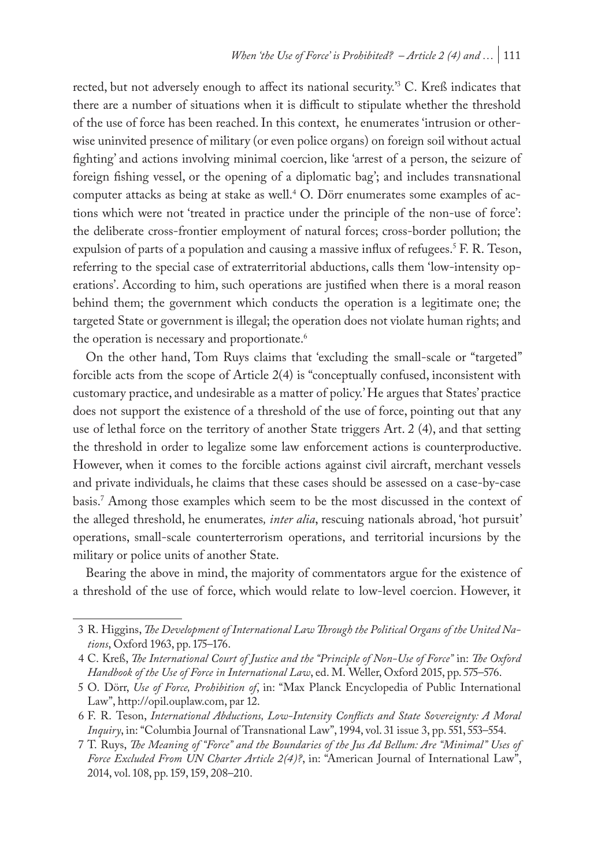rected, but not adversely enough to affect its national security.'3 C. Kreß indicates that there are a number of situations when it is difficult to stipulate whether the threshold of the use of force has been reached. In this context, he enumerates 'intrusion or otherwise uninvited presence of military (or even police organs) on foreign soil without actual fighting' and actions involving minimal coercion, like 'arrest of a person, the seizure of foreign fishing vessel, or the opening of a diplomatic bag'; and includes transnational computer attacks as being at stake as well.4 O. Dörr enumerates some examples of actions which were not 'treated in practice under the principle of the non-use of force': the deliberate cross-frontier employment of natural forces; cross-border pollution; the expulsion of parts of a population and causing a massive influx of refugees.<sup>5</sup> F. R. Teson, referring to the special case of extraterritorial abductions, calls them 'low-intensity operations'. According to him, such operations are justified when there is a moral reason behind them; the government which conducts the operation is a legitimate one; the targeted State or government is illegal; the operation does not violate human rights; and the operation is necessary and proportionate.<sup>6</sup>

On the other hand, Tom Ruys claims that 'excluding the small-scale or "targeted" forcible acts from the scope of Article 2(4) is "conceptually confused, inconsistent with customary practice, and undesirable as a matter of policy.' He argues that States' practice does not support the existence of a threshold of the use of force, pointing out that any use of lethal force on the territory of another State triggers Art. 2 (4), and that setting the threshold in order to legalize some law enforcement actions is counterproductive. However, when it comes to the forcible actions against civil aircraft, merchant vessels and private individuals, he claims that these cases should be assessed on a case-by-case basis.7 Among those examples which seem to be the most discussed in the context of the alleged threshold, he enumerates*, inter alia*, rescuing nationals abroad, 'hot pursuit' operations, small-scale counterterrorism operations, and territorial incursions by the military or police units of another State.

Bearing the above in mind, the majority of commentators argue for the existence of a threshold of the use of force, which would relate to low-level coercion. However, it

<sup>3</sup> R. Higgins, *The Development of International Law Through the Political Organs of the United Nations*, Oxford 1963, pp. 175–176.

<sup>4</sup> C. Kreß, *The International Court of Justice and the "Principle of Non-Use of Force"* in: *The Oxford Handbook of the Use of Force in International Law*, ed. M. Weller, Oxford 2015, pp. 575–576.

<sup>5</sup> O. Dörr, *Use of Force, Prohibition of*, in: "Max Planck Encyclopedia of Public International Law", http://opil.ouplaw.com, par 12.

<sup>6</sup> F. R. Teson, *International Abductions, Low-Intensity Conflicts and State Sovereignty: A Moral Inquiry*, in: "Columbia Journal of Transnational Law", 1994, vol. 31 issue 3, pp. 551, 553–554.

<sup>7</sup> T. Ruys, *The Meaning of "Force" and the Boundaries of the Jus Ad Bellum: Are "Minimal" Uses of Force Excluded From UN Charter Article 2(4)?*, in: "American Journal of International Law", 2014, vol. 108, pp. 159, 159, 208–210.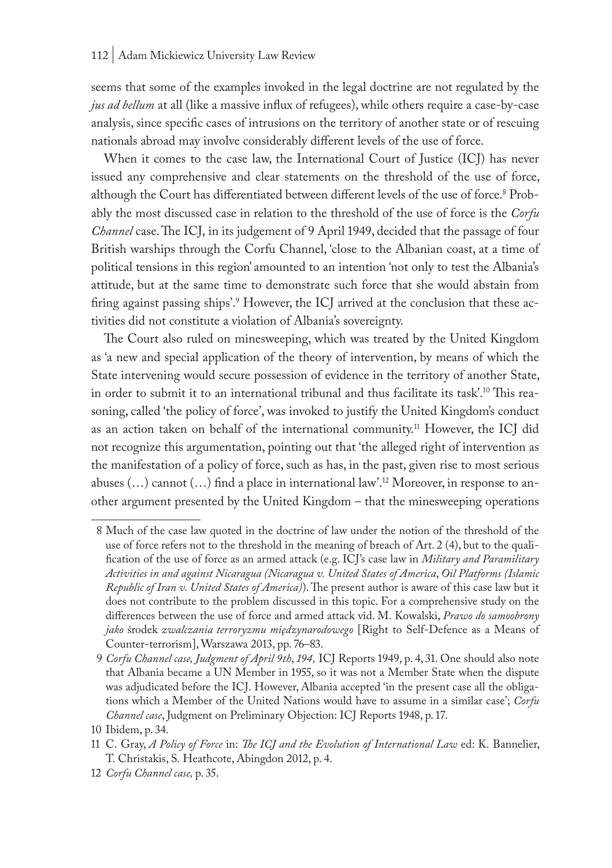seems that some of the examples invoked in the legal doctrine are not regulated by the *jus ad bellum* at all (like a massive influx of refugees), while others require a case-by-case analysis, since specific cases of intrusions on the territory of another state or of rescuing nationals abroad may involve considerably different levels of the use of force.

When it comes to the case law, the International Court of Justice (ICJ) has never issued any comprehensive and clear statements on the threshold of the use of force, although the Court has differentiated between different levels of the use of force.<sup>8</sup> Probably the most discussed case in relation to the threshold of the use of force is the *Corfu Channel* case. The ICJ, in its judgement of 9 April 1949, decided that the passage of four British warships through the Corfu Channel, 'close to the Albanian coast, at a time of political tensions in this region' amounted to an intention 'not only to test the Albania's attitude, but at the same time to demonstrate such force that she would abstain from firing against passing ships'.<sup>9</sup> However, the ICJ arrived at the conclusion that these activities did not constitute a violation of Albania's sovereignty.

The Court also ruled on minesweeping, which was treated by the United Kingdom as 'a new and special application of the theory of intervention, by means of which the State intervening would secure possession of evidence in the territory of another State, in order to submit it to an international tribunal and thus facilitate its task'.10 This reasoning, called 'the policy of force', was invoked to justify the United Kingdom's conduct as an action taken on behalf of the international community.11 However, the ICJ did not recognize this argumentation, pointing out that 'the alleged right of intervention as the manifestation of a policy of force, such as has, in the past, given rise to most serious abuses  $(...)$  cannot  $(...)$  find a place in international law'.<sup>12</sup> Moreover, in response to another argument presented by the United Kingdom – that the minesweeping operations

<sup>8</sup> Much of the case law quoted in the doctrine of law under the notion of the threshold of the use of force refers not to the threshold in the meaning of breach of Art. 2 (4), but to the qualification of the use of force as an armed attack (e.g. ICJ's case law in *Military and Paramilitary Activities in and against Nicaragua (Nicaragua v. United States of America*, *Oil Platforms (Islamic Republic of Iran v. United States of America)*). The present author is aware of this case law but it does not contribute to the problem discussed in this topic. For a comprehensive study on the differences between the use of force and armed attack vid. M. Kowalski, *Prawo do samoobrony jako* środek *zwalczania terroryzmu międzynarodowego* [Right to Self-Defence as a Means of Counter-terrorism], Warszawa 2013, pp. 76–83.

<sup>9</sup> *Corfu Channel case, Judgment of April 9th*, *194,* ICJ Reports 1949, p. 4, 31. One should also note that Albania became a UN Member in 1955, so it was not a Member State when the dispute was adjudicated before the ICJ. However, Albania accepted 'in the present case all the obligations which a Member of the United Nations would have to assume in a similar case'; *Corfu Channel case*, Judgment on Preliminary Objection: ICJ Reports 1948, p. 17.

<sup>10</sup> Ibidem, p. 34.

<sup>11</sup> C. Gray, *A Policy of Force* in: *The ICJ and the Evolution of International Law* ed: K. Bannelier, T. Christakis, S. Heathcote, Abingdon 2012, p. 4.

<sup>12</sup> *Corfu Channel case,* p. 35.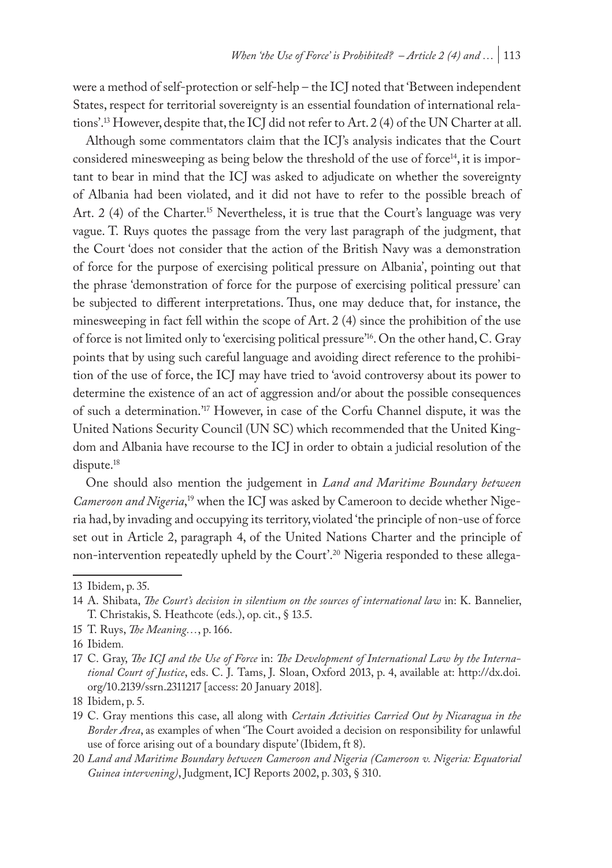were a method of self-protection or self-help – the ICJ noted that 'Between independent States, respect for territorial sovereignty is an essential foundation of international relations'.13 However, despite that, the ICJ did not refer to Art. 2 (4) of the UN Charter at all.

Although some commentators claim that the ICJ's analysis indicates that the Court considered minesweeping as being below the threshold of the use of force<sup>14</sup>, it is important to bear in mind that the ICJ was asked to adjudicate on whether the sovereignty of Albania had been violated, and it did not have to refer to the possible breach of Art. 2 (4) of the Charter.<sup>15</sup> Nevertheless, it is true that the Court's language was very vague. T. Ruys quotes the passage from the very last paragraph of the judgment, that the Court 'does not consider that the action of the British Navy was a demonstration of force for the purpose of exercising political pressure on Albania', pointing out that the phrase 'demonstration of force for the purpose of exercising political pressure' can be subjected to different interpretations. Thus, one may deduce that, for instance, the minesweeping in fact fell within the scope of Art. 2 (4) since the prohibition of the use of force is not limited only to 'exercising political pressure'16. On the other hand, C. Gray points that by using such careful language and avoiding direct reference to the prohibition of the use of force, the ICJ may have tried to 'avoid controversy about its power to determine the existence of an act of aggression and/or about the possible consequences of such a determination.'17 However, in case of the Corfu Channel dispute, it was the United Nations Security Council (UN SC) which recommended that the United Kingdom and Albania have recourse to the ICJ in order to obtain a judicial resolution of the dispute.<sup>18</sup>

One should also mention the judgement in *Land and Maritime Boundary between Cameroon and Nigeria*, 19 when the ICJ was asked by Cameroon to decide whether Nigeria had, by invading and occupying its territory, violated 'the principle of non-use of force set out in Article 2, paragraph 4, of the United Nations Charter and the principle of non-intervention repeatedly upheld by the Court'.20 Nigeria responded to these allega-

<sup>13</sup> Ibidem, p. 35.

<sup>14</sup> A. Shibata, *The Court's decision in silentium on the sources of international law* in: K. Bannelier, T. Christakis, S. Heathcote (eds.), op. cit., § 13.5.

<sup>15</sup> T. Ruys, *The Meaning…*, p. 166.

<sup>16</sup> Ibidem*.*

<sup>17</sup> C. Gray, *The ICJ and the Use of Force* in: *The Development of International Law by the International Court of Justice*, eds. C. J. Tams, J. Sloan, Oxford 2013, p. 4, available at: http://dx.doi. org/10.2139/ssrn.2311217 [access: 20 January 2018].

<sup>18</sup> Ibidem, p. 5.

<sup>19</sup> C. Gray mentions this case, all along with *Certain Activities Carried Out by Nicaragua in the Border Area*, as examples of when 'The Court avoided a decision on responsibility for unlawful use of force arising out of a boundary dispute' (Ibidem, ft 8).

<sup>20</sup> *Land and Maritime Boundary between Cameroon and Nigeria (Cameroon v. Nigeria: Equatorial Guinea intervening)*, Judgment, ICJ Reports 2002, p. 303, § 310.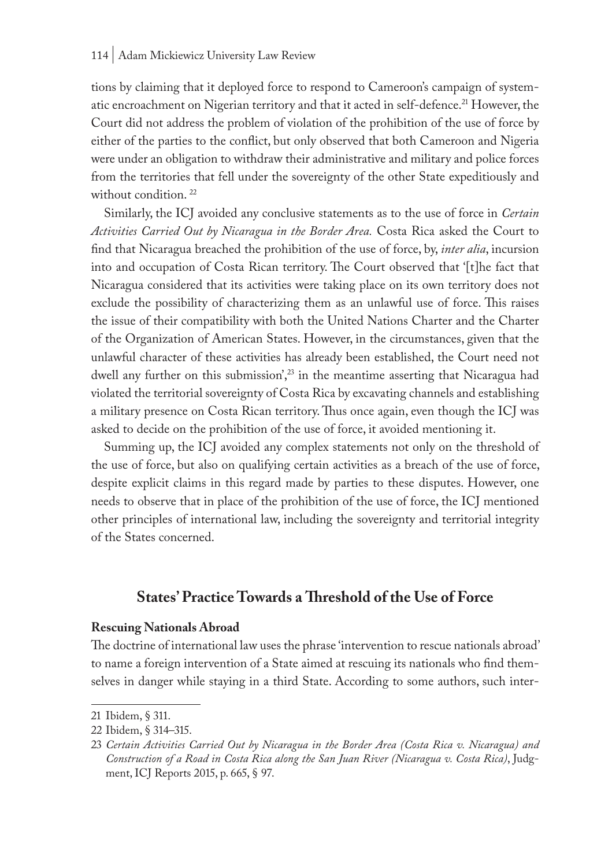tions by claiming that it deployed force to respond to Cameroon's campaign of systematic encroachment on Nigerian territory and that it acted in self-defence.<sup>21</sup> However, the Court did not address the problem of violation of the prohibition of the use of force by either of the parties to the conflict, but only observed that both Cameroon and Nigeria were under an obligation to withdraw their administrative and military and police forces from the territories that fell under the sovereignty of the other State expeditiously and without condition.<sup>22</sup>

Similarly, the ICJ avoided any conclusive statements as to the use of force in *Certain Activities Carried Out by Nicaragua in the Border Area.* Costa Rica asked the Court to find that Nicaragua breached the prohibition of the use of force, by, *inter alia*, incursion into and occupation of Costa Rican territory. The Court observed that '[t]he fact that Nicaragua considered that its activities were taking place on its own territory does not exclude the possibility of characterizing them as an unlawful use of force. This raises the issue of their compatibility with both the United Nations Charter and the Charter of the Organization of American States. However, in the circumstances, given that the unlawful character of these activities has already been established, the Court need not dwell any further on this submission', $^{23}$  in the meantime asserting that Nicaragua had violated the territorial sovereignty of Costa Rica by excavating channels and establishing a military presence on Costa Rican territory. Thus once again, even though the ICJ was asked to decide on the prohibition of the use of force, it avoided mentioning it.

Summing up, the ICJ avoided any complex statements not only on the threshold of the use of force, but also on qualifying certain activities as a breach of the use of force, despite explicit claims in this regard made by parties to these disputes. However, one needs to observe that in place of the prohibition of the use of force, the ICJ mentioned other principles of international law, including the sovereignty and territorial integrity of the States concerned.

## **States' Practice Towards a Threshold of the Use of Force**

#### **Rescuing Nationals Abroad**

The doctrine of international law uses the phrase 'intervention to rescue nationals abroad' to name a foreign intervention of a State aimed at rescuing its nationals who find themselves in danger while staying in a third State. According to some authors, such inter-

<sup>21</sup> Ibidem, § 311.

<sup>22</sup> Ibidem, § 314–315.

<sup>23</sup> *Certain Activities Carried Out by Nicaragua in the Border Area (Costa Rica v. Nicaragua) and Construction of a Road in Costa Rica along the San Juan River (Nicaragua v. Costa Rica)*, Judgment, ICJ Reports 2015, p. 665, § 97.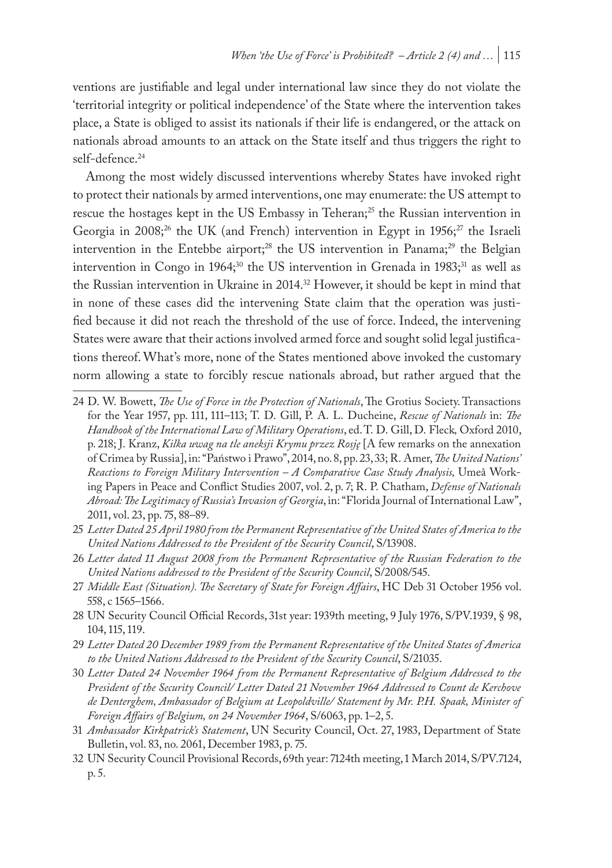ventions are justifiable and legal under international law since they do not violate the 'territorial integrity or political independence' of the State where the intervention takes place, a State is obliged to assist its nationals if their life is endangered, or the attack on nationals abroad amounts to an attack on the State itself and thus triggers the right to self-defence.<sup>24</sup>

Among the most widely discussed interventions whereby States have invoked right to protect their nationals by armed interventions, one may enumerate: the US attempt to rescue the hostages kept in the US Embassy in Teheran;<sup>25</sup> the Russian intervention in Georgia in 2008;<sup>26</sup> the UK (and French) intervention in Egypt in  $1956;^{27}$  the Israeli intervention in the Entebbe airport;<sup>28</sup> the US intervention in Panama;<sup>29</sup> the Belgian intervention in Congo in 1964;<sup>30</sup> the US intervention in Grenada in 1983;<sup>31</sup> as well as the Russian intervention in Ukraine in 2014.32 However, it should be kept in mind that in none of these cases did the intervening State claim that the operation was justified because it did not reach the threshold of the use of force. Indeed, the intervening States were aware that their actions involved armed force and sought solid legal justifications thereof. What's more, none of the States mentioned above invoked the customary norm allowing a state to forcibly rescue nationals abroad, but rather argued that the

- 25 *Letter Dated 25 April 1980 from the Permanent Representative of the United States of America to the United Nations Addressed to the President of the Security Council*, S/13908.
- 26 *Letter dated 11 August 2008 from the Permanent Representative of the Russian Federation to the United Nations addressed to the President of the Security Council*, S/2008/545.
- 27 *Middle East (Situation). The Secretary of State for Foreign Affairs*, HC Deb 31 October 1956 vol. 558, c 1565–1566.
- 28 UN Security Council Official Records, 31st year: 1939th meeting, 9 July 1976, S/PV.1939, § 98, 104, 115, 119.
- 29 *Letter Dated 20 December 1989 from the Permanent Representative of the United States of America to the United Nations Addressed to the President of the Security Council*, S/21035.
- 30 *Letter Dated 24 November 1964 from the Permanent Representative of Belgium Addressed to the President of the Security Council/ Letter Dated 21 November 1964 Addressed to Count de Kerchove de Denterghem, Ambassador of Belgium at Leopoldville/ Statement by Mr. P.H. Spaak, Minister of Foreign Affairs of Belgium, on 24 November 1964*, S/6063, pp. 1–2, 5.
- 31 *Ambassador Kirkpatrick's Statement*, UN Security Council, Oct. 27, 1983, Department of State Bulletin, vol. 83, no. 2061, December 1983, p. 75.
- 32 UN Security Council Provisional Records, 69th year: 7124th meeting, 1 March 2014, S/PV.7124, p. 5.

<sup>24</sup> D. W. Bowett, *The Use of Force in the Protection of Nationals*, The Grotius Society. Transactions for the Year 1957, pp. 111, 111–113; T. D. Gill, P. A. L. Ducheine, *Rescue of Nationals* in: *The Handbook of the International Law of Military Operations*, ed. T. D. Gill, D. Fleck*,* Oxford 2010, p. 218; J. Kranz, *Kilka uwag na tle aneksji Krymu przez Rosję* [A few remarks on the annexation of Crimea by Russia], in: "Państwo i Prawo", 2014, no. 8, pp. 23, 33; R. Amer, *The United Nations' Reactions to Foreign Military Intervention – A Comparative Case Study Analysis,* Umeå Working Papers in Peace and Conflict Studies 2007, vol. 2, p. 7; R. P. Chatham, *Defense of Nationals Abroad: The Legitimacy of Russia's Invasion of Georgia*, in: "Florida Journal of International Law", 2011, vol. 23, pp. 75, 88–89.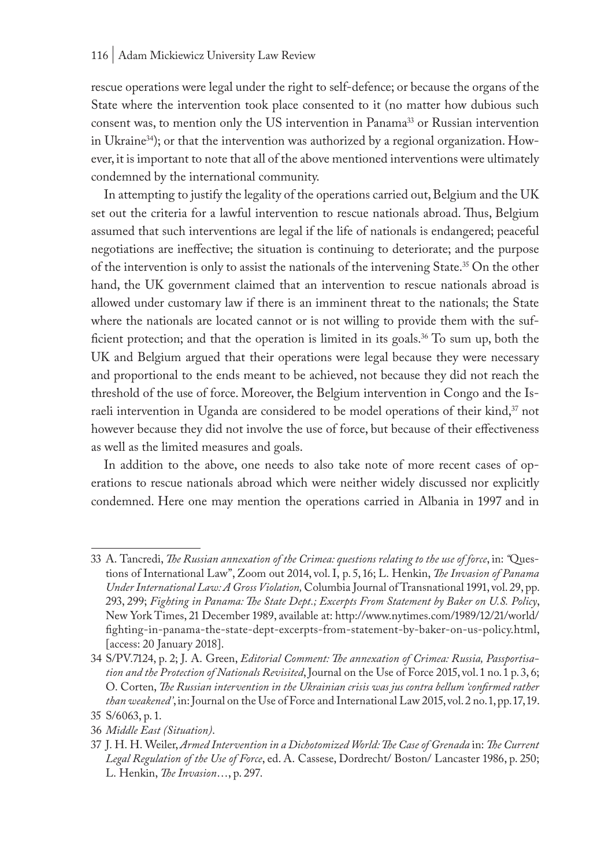#### 116 | Adam Mickiewicz University Law Review

rescue operations were legal under the right to self-defence; or because the organs of the State where the intervention took place consented to it (no matter how dubious such consent was, to mention only the US intervention in Panama<sup>33</sup> or Russian intervention in Ukraine<sup>34</sup>); or that the intervention was authorized by a regional organization. However, it is important to note that all of the above mentioned interventions were ultimately condemned by the international community.

In attempting to justify the legality of the operations carried out, Belgium and the UK set out the criteria for a lawful intervention to rescue nationals abroad. Thus, Belgium assumed that such interventions are legal if the life of nationals is endangered; peaceful negotiations are ineffective; the situation is continuing to deteriorate; and the purpose of the intervention is only to assist the nationals of the intervening State.35 On the other hand, the UK government claimed that an intervention to rescue nationals abroad is allowed under customary law if there is an imminent threat to the nationals; the State where the nationals are located cannot or is not willing to provide them with the sufficient protection; and that the operation is limited in its goals.36 To sum up, both the UK and Belgium argued that their operations were legal because they were necessary and proportional to the ends meant to be achieved, not because they did not reach the threshold of the use of force. Moreover, the Belgium intervention in Congo and the Israeli intervention in Uganda are considered to be model operations of their kind, $37$  not however because they did not involve the use of force, but because of their effectiveness as well as the limited measures and goals.

In addition to the above, one needs to also take note of more recent cases of operations to rescue nationals abroad which were neither widely discussed nor explicitly condemned. Here one may mention the operations carried in Albania in 1997 and in

<sup>33</sup> A. Tancredi, *The Russian annexation of the Crimea: questions relating to the use of force*, in: *"*Questions of International Law", Zoom out 2014, vol. I, p. 5, 16; L. Henkin, *The Invasion of Panama Under International Law: A Gross Violation,* Columbia Journal of Transnational 1991, vol. 29, pp. 293, 299; *Fighting in Panama: The State Dept.; Excerpts From Statement by Baker on U.S. Policy*, New York Times, 21 December 1989, available at: http://www.nytimes.com/1989/12/21/world/ fighting-in-panama-the-state-dept-excerpts-from-statement-by-baker-on-us-policy.html, [access: 20 January 2018].

<sup>34</sup> S/PV.7124, p. 2; J. A. Green, *Editorial Comment: The annexation of Crimea: Russia, Passportisation and the Protection of Nationals Revisited*, Journal on the Use of Force 2015, vol. 1 no. 1 p. 3, 6; O. Corten, *The Russian intervention in the Ukrainian crisis was jus contra bellum 'confirmed rather than weakened'*, in: Journal on the Use of Force and International Law 2015, vol. 2 no. 1, pp. 17, 19. 35 S/6063, p. 1.

<sup>36</sup> *Middle East (Situation)*.

<sup>37</sup> J. H. H. Weiler, *Armed Intervention in a Dichotomized World: The Case of Grenada* in: *The Current Legal Regulation of the Use of Force*, ed. A. Cassese, Dordrecht/ Boston/ Lancaster 1986, p. 250; L. Henkin, *The Invasion*…, p. 297.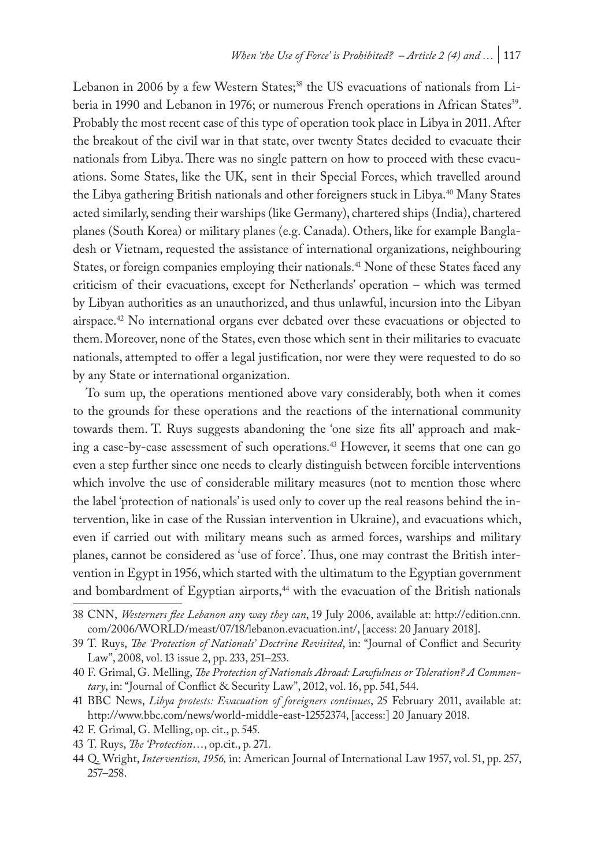Lebanon in 2006 by a few Western States;<sup>38</sup> the US evacuations of nationals from Liberia in 1990 and Lebanon in 1976; or numerous French operations in African States<sup>39</sup>. Probably the most recent case of this type of operation took place in Libya in 2011. After the breakout of the civil war in that state, over twenty States decided to evacuate their nationals from Libya. There was no single pattern on how to proceed with these evacuations. Some States, like the UK, sent in their Special Forces, which travelled around the Libya gathering British nationals and other foreigners stuck in Libya.<sup>40</sup> Many States acted similarly, sending their warships (like Germany), chartered ships (India), chartered planes (South Korea) or military planes (e.g. Canada). Others, like for example Bangladesh or Vietnam, requested the assistance of international organizations, neighbouring States, or foreign companies employing their nationals.41 None of these States faced any criticism of their evacuations, except for Netherlands' operation – which was termed by Libyan authorities as an unauthorized, and thus unlawful, incursion into the Libyan airspace.<sup>42</sup> No international organs ever debated over these evacuations or objected to them. Moreover, none of the States, even those which sent in their militaries to evacuate nationals, attempted to offer a legal justification, nor were they were requested to do so by any State or international organization.

To sum up, the operations mentioned above vary considerably, both when it comes to the grounds for these operations and the reactions of the international community towards them. T. Ruys suggests abandoning the 'one size fits all' approach and making a case-by-case assessment of such operations.43 However, it seems that one can go even a step further since one needs to clearly distinguish between forcible interventions which involve the use of considerable military measures (not to mention those where the label 'protection of nationals' is used only to cover up the real reasons behind the intervention, like in case of the Russian intervention in Ukraine), and evacuations which, even if carried out with military means such as armed forces, warships and military planes, cannot be considered as 'use of force'. Thus, one may contrast the British intervention in Egypt in 1956, which started with the ultimatum to the Egyptian government and bombardment of Egyptian airports,<sup>44</sup> with the evacuation of the British nationals

<sup>38</sup> CNN, *Westerners flee Lebanon any way they can*, 19 July 2006, available at: http://edition.cnn. com/2006/WORLD/meast/07/18/lebanon.evacuation.int/, [access: 20 January 2018].

<sup>39</sup> T. Ruys, *The 'Protection of Nationals' Doctrine Revisited*, in: "Journal of Conflict and Security Law", 2008, vol. 13 issue 2, pp. 233, 251–253.

<sup>40</sup> F. Grimal, G. Melling, *The Protection of Nationals Abroad: Lawfulness or Toleration? A Commentary*, in: "Journal of Conflict & Security Law", 2012, vol. 16, pp. 541, 544.

<sup>41</sup> BBC News, *Libya protests: Evacuation of foreigners continues*, 25 February 2011, available at: http://www.bbc.com/news/world-middle-east-12552374, [access:] 20 January 2018.

<sup>42</sup> F. Grimal, G. Melling, op. cit., p. 545.

<sup>43</sup> T. Ruys, *The 'Protection*…, op.cit., p. 271.

<sup>44</sup> Q. Wright, *Intervention, 1956,* in: American Journal of International Law 1957, vol. 51, pp. 257, 257–258.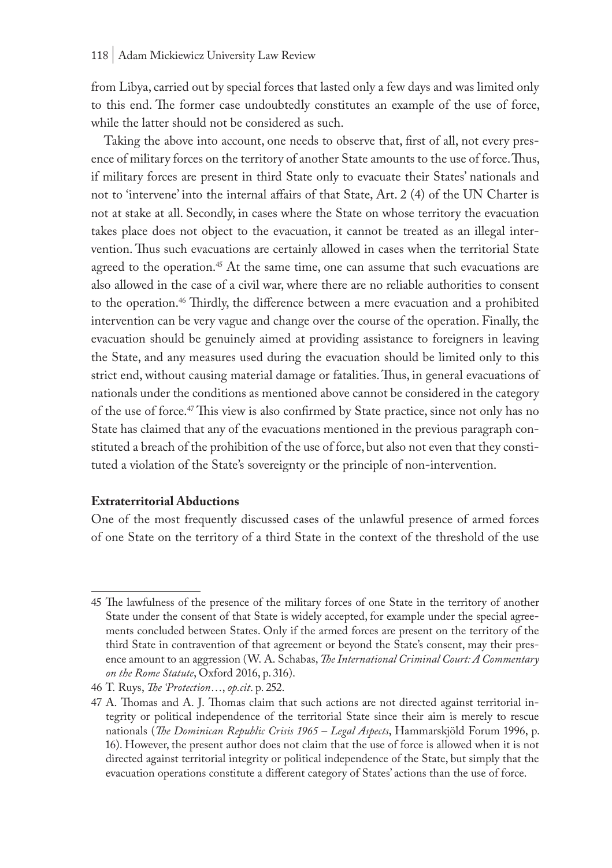from Libya, carried out by special forces that lasted only a few days and was limited only to this end. The former case undoubtedly constitutes an example of the use of force, while the latter should not be considered as such.

Taking the above into account, one needs to observe that, first of all, not every presence of military forces on the territory of another State amounts to the use of force. Thus, if military forces are present in third State only to evacuate their States' nationals and not to 'intervene' into the internal affairs of that State, Art. 2 (4) of the UN Charter is not at stake at all. Secondly, in cases where the State on whose territory the evacuation takes place does not object to the evacuation, it cannot be treated as an illegal intervention. Thus such evacuations are certainly allowed in cases when the territorial State agreed to the operation.<sup>45</sup> At the same time, one can assume that such evacuations are also allowed in the case of a civil war, where there are no reliable authorities to consent to the operation.<sup>46</sup> Thirdly, the difference between a mere evacuation and a prohibited intervention can be very vague and change over the course of the operation. Finally, the evacuation should be genuinely aimed at providing assistance to foreigners in leaving the State, and any measures used during the evacuation should be limited only to this strict end, without causing material damage or fatalities. Thus, in general evacuations of nationals under the conditions as mentioned above cannot be considered in the category of the use of force.47 This view is also confirmed by State practice, since not only has no State has claimed that any of the evacuations mentioned in the previous paragraph constituted a breach of the prohibition of the use of force, but also not even that they constituted a violation of the State's sovereignty or the principle of non-intervention.

#### **Extraterritorial Abductions**

One of the most frequently discussed cases of the unlawful presence of armed forces of one State on the territory of a third State in the context of the threshold of the use

<sup>45</sup> The lawfulness of the presence of the military forces of one State in the territory of another State under the consent of that State is widely accepted, for example under the special agreements concluded between States. Only if the armed forces are present on the territory of the third State in contravention of that agreement or beyond the State's consent, may their presence amount to an aggression (W. A. Schabas, *The International Criminal Court: A Commentary on the Rome Statute*, Oxford 2016, p. 316).

<sup>46</sup> T. Ruys, *The 'Protection*…, *op.cit*. p. 252.

<sup>47</sup> A. Thomas and A. J. Thomas claim that such actions are not directed against territorial integrity or political independence of the territorial State since their aim is merely to rescue nationals (*The Dominican Republic Crisis 1965 – Legal Aspects*, Hammarskjöld Forum 1996, p. 16). However, the present author does not claim that the use of force is allowed when it is not directed against territorial integrity or political independence of the State, but simply that the evacuation operations constitute a different category of States' actions than the use of force.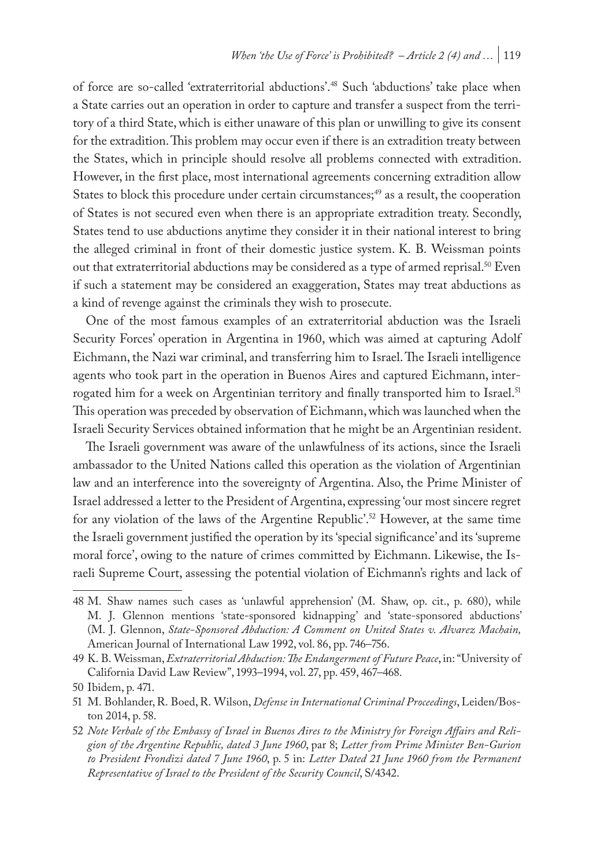of force are so-called 'extraterritorial abductions'.48 Such 'abductions' take place when a State carries out an operation in order to capture and transfer a suspect from the territory of a third State, which is either unaware of this plan or unwilling to give its consent for the extradition. This problem may occur even if there is an extradition treaty between the States, which in principle should resolve all problems connected with extradition. However, in the first place, most international agreements concerning extradition allow States to block this procedure under certain circumstances; $49$  as a result, the cooperation of States is not secured even when there is an appropriate extradition treaty. Secondly, States tend to use abductions anytime they consider it in their national interest to bring the alleged criminal in front of their domestic justice system. K. B. Weissman points out that extraterritorial abductions may be considered as a type of armed reprisal.<sup>50</sup> Even if such a statement may be considered an exaggeration, States may treat abductions as a kind of revenge against the criminals they wish to prosecute.

One of the most famous examples of an extraterritorial abduction was the Israeli Security Forces' operation in Argentina in 1960, which was aimed at capturing Adolf Eichmann, the Nazi war criminal, and transferring him to Israel. The Israeli intelligence agents who took part in the operation in Buenos Aires and captured Eichmann, interrogated him for a week on Argentinian territory and finally transported him to Israel.<sup>51</sup> This operation was preceded by observation of Eichmann, which was launched when the Israeli Security Services obtained information that he might be an Argentinian resident.

The Israeli government was aware of the unlawfulness of its actions, since the Israeli ambassador to the United Nations called this operation as the violation of Argentinian law and an interference into the sovereignty of Argentina. Also, the Prime Minister of Israel addressed a letter to the President of Argentina, expressing 'our most sincere regret for any violation of the laws of the Argentine Republic'.<sup>52</sup> However, at the same time the Israeli government justified the operation by its 'special significance' and its 'supreme moral force', owing to the nature of crimes committed by Eichmann. Likewise, the Israeli Supreme Court, assessing the potential violation of Eichmann's rights and lack of

<sup>48</sup> M. Shaw names such cases as 'unlawful apprehension' (M. Shaw, op. cit., p. 680), while M. J. Glennon mentions 'state-sponsored kidnapping' and 'state-sponsored abductions' (M. J. Glennon, *State-Sponsored Abduction: A Comment on United States v. Alvarez Machain,*  American Journal of International Law 1992, vol. 86, pp. 746–756.

<sup>49</sup> K. B. Weissman, *Extraterritorial Abduction: The Endangerment of Future Peace*, in: "University of California David Law Review", 1993–1994, vol. 27, pp. 459, 467–468.

<sup>50</sup> Ibidem, p. 471.

<sup>51</sup> M. Bohlander, R. Boed, R. Wilson, *Defense in International Criminal Proceedings*, Leiden/Boston 2014, p. 58.

<sup>52</sup> *Note Verbale of the Embassy of Israel in Buenos Aires to the Ministry for Foreign Affairs and Religion of the Argentine Republic, dated 3 June 1960*, par 8; *Letter from Prime Minister Ben-Gurion to President Frondizi dated 7 June 1960*, p. 5 in: *Letter Dated 21 June 1960 from the Permanent Representative of Israel to the President of the Security Council*, S/4342.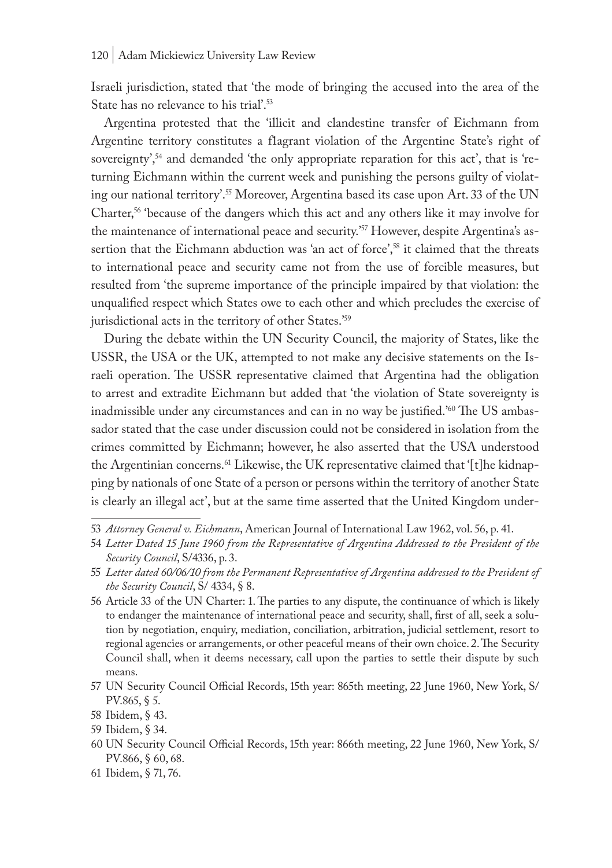Israeli jurisdiction, stated that 'the mode of bringing the accused into the area of the State has no relevance to his trial'.53

Argentina protested that the 'illicit and clandestine transfer of Eichmann from Argentine territory constitutes a flagrant violation of the Argentine State's right of sovereignty',<sup>54</sup> and demanded 'the only appropriate reparation for this act', that is 'returning Eichmann within the current week and punishing the persons guilty of violating our national territory'.<sup>55</sup> Moreover, Argentina based its case upon Art. 33 of the UN Charter,<sup>56</sup> 'because of the dangers which this act and any others like it may involve for the maintenance of international peace and security.<sup>'57</sup> However, despite Argentina's assertion that the Eichmann abduction was 'an act of force',<sup>58</sup> it claimed that the threats to international peace and security came not from the use of forcible measures, but resulted from 'the supreme importance of the principle impaired by that violation: the unqualified respect which States owe to each other and which precludes the exercise of jurisdictional acts in the territory of other States.'59

During the debate within the UN Security Council, the majority of States, like the USSR, the USA or the UK, attempted to not make any decisive statements on the Israeli operation. The USSR representative claimed that Argentina had the obligation to arrest and extradite Eichmann but added that 'the violation of State sovereignty is inadmissible under any circumstances and can in no way be justified.'60 The US ambassador stated that the case under discussion could not be considered in isolation from the crimes committed by Eichmann; however, he also asserted that the USA understood the Argentinian concerns.<sup>61</sup> Likewise, the UK representative claimed that '[t]he kidnapping by nationals of one State of a person or persons within the territory of another State is clearly an illegal act', but at the same time asserted that the United Kingdom under-

<sup>53</sup> *Attorney General v. Eichmann*, American Journal of International Law 1962, vol. 56, p. 41.

<sup>54</sup> *Letter Dated 15 June 1960 from the Representative of Argentina Addressed to the President of the Security Council*, S/4336, p. 3.

<sup>55</sup> *Letter dated 60/06/10 from the Permanent Representative of Argentina addressed to the President of the Security Council*, S/ 4334, § 8.

<sup>56</sup> Article 33 of the UN Charter: 1. The parties to any dispute, the continuance of which is likely to endanger the maintenance of international peace and security, shall, first of all, seek a solution by negotiation, enquiry, mediation, conciliation, arbitration, judicial settlement, resort to regional agencies or arrangements, or other peaceful means of their own choice. 2. The Security Council shall, when it deems necessary, call upon the parties to settle their dispute by such means.

<sup>57</sup> UN Security Council Official Records, 15th year: 865th meeting, 22 June 1960, New York, S/ PV.865, § 5.

<sup>58</sup> Ibidem, § 43.

<sup>59</sup> Ibidem, § 34.

<sup>60</sup> UN Security Council Official Records, 15th year: 866th meeting, 22 June 1960, New York, S/ PV.866, § 60, 68.

<sup>61</sup> Ibidem, § 71, 76.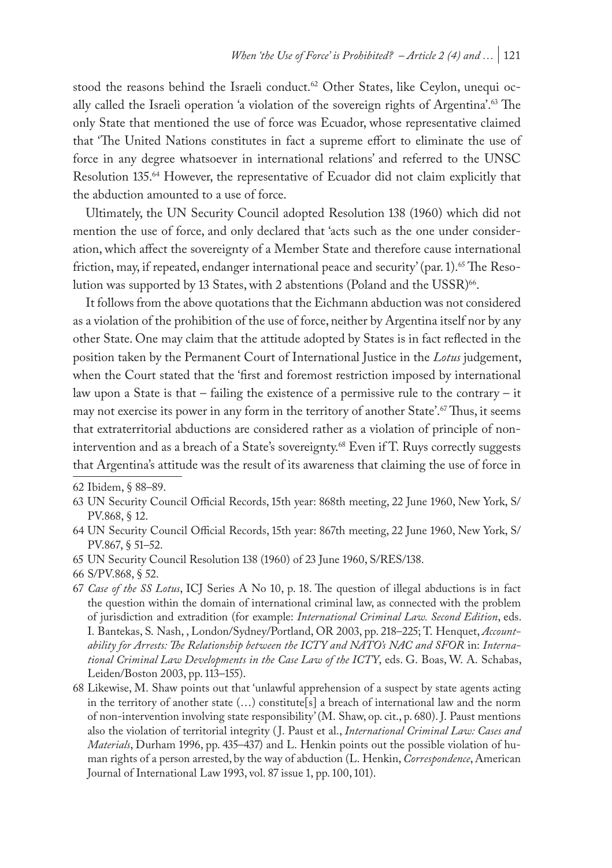stood the reasons behind the Israeli conduct.<sup>62</sup> Other States, like Ceylon, unequi ocally called the Israeli operation 'a violation of the sovereign rights of Argentina'.<sup>63</sup> The only State that mentioned the use of force was Ecuador, whose representative claimed that 'The United Nations constitutes in fact a supreme effort to eliminate the use of force in any degree whatsoever in international relations' and referred to the UNSC Resolution 135.<sup>64</sup> However, the representative of Ecuador did not claim explicitly that the abduction amounted to a use of force.

Ultimately, the UN Security Council adopted Resolution 138 (1960) which did not mention the use of force, and only declared that 'acts such as the one under consideration, which affect the sovereignty of a Member State and therefore cause international friction, may, if repeated, endanger international peace and security' (par. 1).<sup>65</sup> The Resolution was supported by 13 States, with 2 abstentions (Poland and the USSR)<sup>66</sup>.

It follows from the above quotations that the Eichmann abduction was not considered as a violation of the prohibition of the use of force, neither by Argentina itself nor by any other State. One may claim that the attitude adopted by States is in fact reflected in the position taken by the Permanent Court of International Justice in the *Lotus* judgement, when the Court stated that the 'first and foremost restriction imposed by international law upon a State is that – failing the existence of a permissive rule to the contrary – it may not exercise its power in any form in the territory of another State'.<sup>67</sup>Thus, it seems that extraterritorial abductions are considered rather as a violation of principle of nonintervention and as a breach of a State's sovereignty.<sup>68</sup> Even if T. Ruys correctly suggests that Argentina's attitude was the result of its awareness that claiming the use of force in

- 64 UN Security Council Official Records, 15th year: 867th meeting, 22 June 1960, New York, S/ PV.867, § 51–52.
- 65 UN Security Council Resolution 138 (1960) of 23 June 1960, S/RES/138.

<sup>62</sup> Ibidem, § 88–89.

<sup>63</sup> UN Security Council Official Records, 15th year: 868th meeting, 22 June 1960, New York, S/ PV.868, § 12.

<sup>66</sup> S/PV.868, § 52.

<sup>67</sup> *Case of the SS Lotus*, ICJ Series A No 10, p. 18. The question of illegal abductions is in fact the question within the domain of international criminal law, as connected with the problem of jurisdiction and extradition (for example: *International Criminal Law. Second Edition*, eds. I. Bantekas, S. Nash, , London/Sydney/Portland, OR 2003, pp. 218–225; T. Henquet, *Accountability for Arrests: The Relationship between the ICTY and NATO's NAC and SFOR* in: *International Criminal Law Developments in the Case Law of the ICTY*, eds. G. Boas, W. A. Schabas, Leiden/Boston 2003, pp. 113–155).

<sup>68</sup> Likewise, M. Shaw points out that 'unlawful apprehension of a suspect by state agents acting in the territory of another state (…) constitute[s] a breach of international law and the norm of non-intervention involving state responsibility' (M. Shaw, op. cit., p. 680). J. Paust mentions also the violation of territorial integrity ( J. Paust et al., *International Criminal Law: Cases and Materials*, Durham 1996, pp. 435–437) and L. Henkin points out the possible violation of human rights of a person arrested, by the way of abduction (L. Henkin, *Correspondence*, American Journal of International Law 1993, vol. 87 issue 1, pp. 100, 101).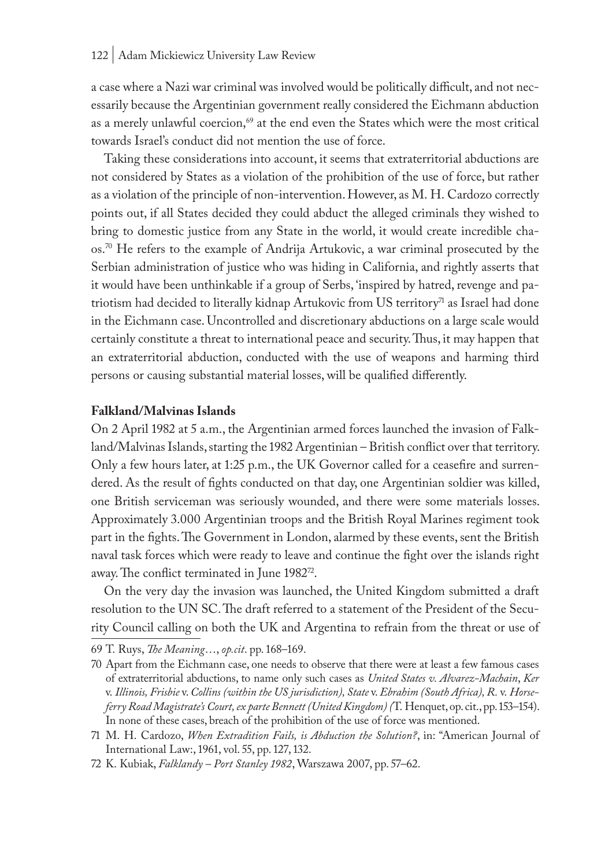a case where a Nazi war criminal was involved would be politically difficult, and not necessarily because the Argentinian government really considered the Eichmann abduction as a merely unlawful coercion,<sup>69</sup> at the end even the States which were the most critical towards Israel's conduct did not mention the use of force.

Taking these considerations into account, it seems that extraterritorial abductions are not considered by States as a violation of the prohibition of the use of force, but rather as a violation of the principle of non-intervention. However, as M. H. Cardozo correctly points out, if all States decided they could abduct the alleged criminals they wished to bring to domestic justice from any State in the world, it would create incredible chaos.70 He refers to the example of Andrija Artukovic, a war criminal prosecuted by the Serbian administration of justice who was hiding in California, and rightly asserts that it would have been unthinkable if a group of Serbs, 'inspired by hatred, revenge and patriotism had decided to literally kidnap Artukovic from US territory<sup>71</sup> as Israel had done in the Eichmann case. Uncontrolled and discretionary abductions on a large scale would certainly constitute a threat to international peace and security. Thus, it may happen that an extraterritorial abduction, conducted with the use of weapons and harming third persons or causing substantial material losses, will be qualified differently.

#### **Falkland/Malvinas Islands**

On 2 April 1982 at 5 a.m., the Argentinian armed forces launched the invasion of Falkland/Malvinas Islands, starting the 1982 Argentinian – British conflict over that territory. Only a few hours later, at 1:25 p.m., the UK Governor called for a ceasefire and surrendered. As the result of fights conducted on that day, one Argentinian soldier was killed, one British serviceman was seriously wounded, and there were some materials losses. Approximately 3.000 Argentinian troops and the British Royal Marines regiment took part in the fights. The Government in London, alarmed by these events, sent the British naval task forces which were ready to leave and continue the fight over the islands right away. The conflict terminated in June 1982<sup>72</sup>.

On the very day the invasion was launched, the United Kingdom submitted a draft resolution to the UN SC. The draft referred to a statement of the President of the Security Council calling on both the UK and Argentina to refrain from the threat or use of

<sup>69</sup> T. Ruys, *The Meaning*…, *op.cit*. pp. 168–169.

<sup>70</sup> Apart from the Eichmann case, one needs to observe that there were at least a few famous cases of extraterritorial abductions, to name only such cases as *United States v. Alvarez-Machain*, *Ker*  v. *Illinois, Frisbie* v. *Collins (within the US jurisdiction), State* v. *Ebrahim (South Africa), R.* v. *Horseferry Road Magistrate's Court, ex parte Bennett (United Kingdom) (*T. Henquet, op. cit., pp. 153–154). In none of these cases, breach of the prohibition of the use of force was mentioned.

<sup>71</sup> M. H. Cardozo, *When Extradition Fails, is Abduction the Solution?*, in: "American Journal of International Law:, 1961, vol. 55, pp. 127, 132.

<sup>72</sup> K. Kubiak, *Falklandy – Port Stanley 1982*, Warszawa 2007, pp. 57–62.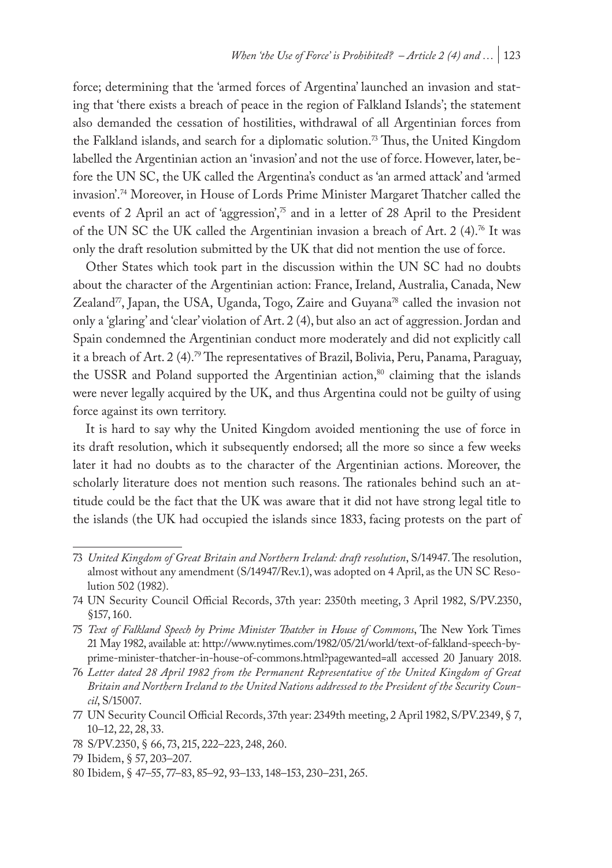force; determining that the 'armed forces of Argentina' launched an invasion and stating that 'there exists a breach of peace in the region of Falkland Islands'; the statement also demanded the cessation of hostilities, withdrawal of all Argentinian forces from the Falkland islands, and search for a diplomatic solution.<sup>73</sup> Thus, the United Kingdom labelled the Argentinian action an 'invasion' and not the use of force. However, later, before the UN SC, the UK called the Argentina's conduct as 'an armed attack' and 'armed invasion'.74 Moreover, in House of Lords Prime Minister Margaret Thatcher called the events of 2 April an act of 'aggression', $\frac{\pi}{2}$  and in a letter of 28 April to the President of the UN SC the UK called the Argentinian invasion a breach of Art. 2 (4).76 It was only the draft resolution submitted by the UK that did not mention the use of force.

Other States which took part in the discussion within the UN SC had no doubts about the character of the Argentinian action: France, Ireland, Australia, Canada, New Zealand<sup>77</sup>, Japan, the USA, Uganda, Togo, Zaire and Guyana<sup>78</sup> called the invasion not only a 'glaring' and 'clear' violation of Art. 2 (4), but also an act of aggression. Jordan and Spain condemned the Argentinian conduct more moderately and did not explicitly call it a breach of Art. 2 (4).<sup>79</sup> The representatives of Brazil, Bolivia, Peru, Panama, Paraguay, the USSR and Poland supported the Argentinian action,<sup>80</sup> claiming that the islands were never legally acquired by the UK, and thus Argentina could not be guilty of using force against its own territory.

It is hard to say why the United Kingdom avoided mentioning the use of force in its draft resolution, which it subsequently endorsed; all the more so since a few weeks later it had no doubts as to the character of the Argentinian actions. Moreover, the scholarly literature does not mention such reasons. The rationales behind such an attitude could be the fact that the UK was aware that it did not have strong legal title to the islands (the UK had occupied the islands since 1833, facing protests on the part of

- 77 UN Security Council Official Records, 37th year: 2349th meeting, 2 April 1982, S/PV.2349, § 7, 10–12, 22, 28, 33.
- 78 S/PV.2350, § 66, 73, 215, 222–223, 248, 260.
- 79 Ibidem, § 57, 203–207.

<sup>73</sup> *United Kingdom of Great Britain and Northern Ireland: draft resolution*, S/14947. The resolution, almost without any amendment (S/14947/Rev.1), was adopted on 4 April, as the UN SC Resolution 502 (1982).

<sup>74</sup> UN Security Council Official Records, 37th year: 2350th meeting, 3 April 1982, S/PV.2350, §157, 160.

<sup>75</sup> *Text of Falkland Speech by Prime Minister Thatcher in House of Commons*, The New York Times 21 May 1982, available at: http://www.nytimes.com/1982/05/21/world/text-of-falkland-speech-byprime-minister-thatcher-in-house-of-commons.html?pagewanted=all accessed 20 January 2018.

<sup>76</sup> *Letter dated 28 April 1982 from the Permanent Representative of the United Kingdom of Great Britain and Northern Ireland to the United Nations addressed to the President of the Security Council*, S/15007.

<sup>80</sup> Ibidem, § 47–55, 77–83, 85–92, 93–133, 148–153, 230–231, 265.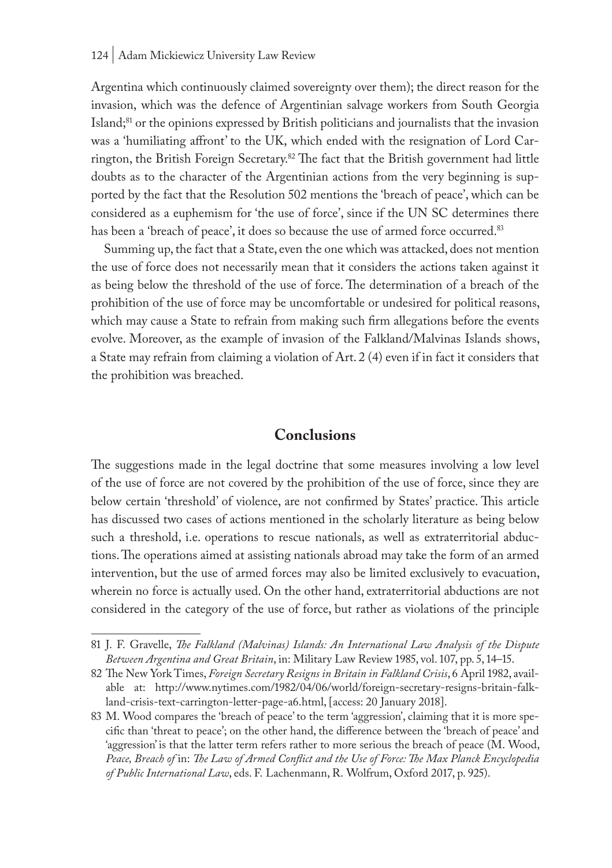Argentina which continuously claimed sovereignty over them); the direct reason for the invasion, which was the defence of Argentinian salvage workers from South Georgia Island;81 or the opinions expressed by British politicians and journalists that the invasion was a 'humiliating affront' to the UK, which ended with the resignation of Lord Carrington, the British Foreign Secretary.82 The fact that the British government had little doubts as to the character of the Argentinian actions from the very beginning is supported by the fact that the Resolution 502 mentions the 'breach of peace', which can be considered as a euphemism for 'the use of force', since if the UN SC determines there has been a 'breach of peace', it does so because the use of armed force occurred.<sup>83</sup>

Summing up, the fact that a State, even the one which was attacked, does not mention the use of force does not necessarily mean that it considers the actions taken against it as being below the threshold of the use of force. The determination of a breach of the prohibition of the use of force may be uncomfortable or undesired for political reasons, which may cause a State to refrain from making such firm allegations before the events evolve. Moreover, as the example of invasion of the Falkland/Malvinas Islands shows, a State may refrain from claiming a violation of Art. 2 (4) even if in fact it considers that the prohibition was breached.

### **Conclusions**

The suggestions made in the legal doctrine that some measures involving a low level of the use of force are not covered by the prohibition of the use of force, since they are below certain 'threshold' of violence, are not confirmed by States' practice. This article has discussed two cases of actions mentioned in the scholarly literature as being below such a threshold, i.e. operations to rescue nationals, as well as extraterritorial abductions. The operations aimed at assisting nationals abroad may take the form of an armed intervention, but the use of armed forces may also be limited exclusively to evacuation, wherein no force is actually used. On the other hand, extraterritorial abductions are not considered in the category of the use of force, but rather as violations of the principle

<sup>81</sup> J. F. Gravelle, *The Falkland (Malvinas) Islands: An International Law Analysis of the Dispute Between Argentina and Great Britain*, in: Military Law Review 1985, vol. 107, pp. 5, 14–15.

<sup>82</sup> The New York Times, *Foreign Secretary Resigns in Britain in Falkland Crisis*, 6 April 1982, available at: http://www.nytimes.com/1982/04/06/world/foreign-secretary-resigns-britain-falkland-crisis-text-carrington-letter-page-a6.html, [access: 20 January 2018].

<sup>83</sup> M. Wood compares the 'breach of peace' to the term 'aggression', claiming that it is more specific than 'threat to peace'; on the other hand, the difference between the 'breach of peace' and 'aggression' is that the latter term refers rather to more serious the breach of peace (M. Wood, *Peace, Breach of* in: *The Law of Armed Conflict and the Use of Force: The Max Planck Encyclopedia of Public International Law*, eds. F. Lachenmann, R. Wolfrum, Oxford 2017, p. 925).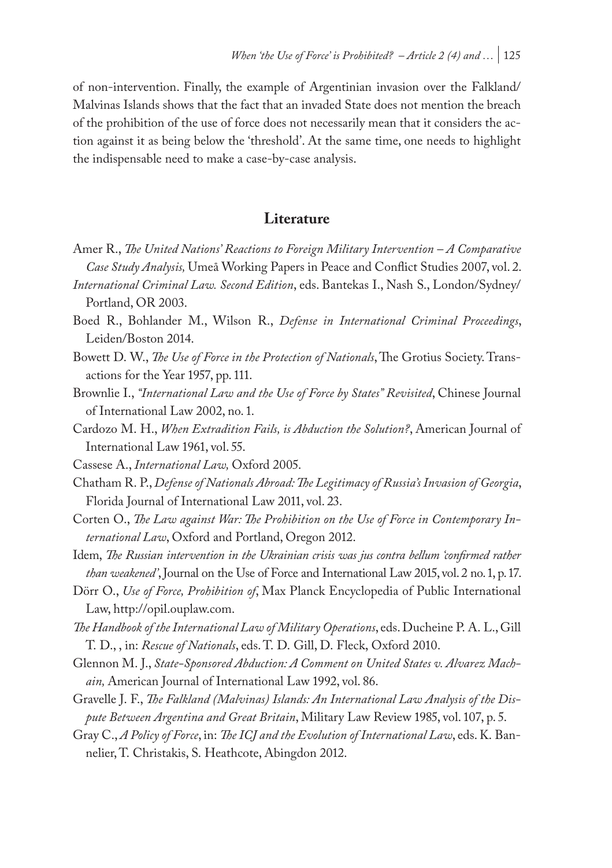of non-intervention. Finally, the example of Argentinian invasion over the Falkland/ Malvinas Islands shows that the fact that an invaded State does not mention the breach of the prohibition of the use of force does not necessarily mean that it considers the action against it as being below the 'threshold'. At the same time, one needs to highlight the indispensable need to make a case-by-case analysis.

### **Literature**

- Amer R., *The United Nations' Reactions to Foreign Military Intervention A Comparative Case Study Analysis,* Umeå Working Papers in Peace and Conflict Studies 2007, vol. 2.
- *International Criminal Law. Second Edition*, eds. Bantekas I., Nash S., London/Sydney/ Portland, OR 2003.
- Boed R., Bohlander M., Wilson R., *Defense in International Criminal Proceedings*, Leiden/Boston 2014.
- Bowett D. W., *The Use of Force in the Protection of Nationals*, The Grotius Society. Transactions for the Year 1957, pp. 111.
- Brownlie I., *"International Law and the Use of Force by States" Revisited*, Chinese Journal of International Law 2002, no. 1.
- Cardozo M. H., *When Extradition Fails, is Abduction the Solution?*, American Journal of International Law 1961, vol. 55.
- Cassese A., *International Law,* Oxford 2005.
- Chatham R. P., *Defense of Nationals Abroad: The Legitimacy of Russia's Invasion of Georgia*, Florida Journal of International Law 2011, vol. 23.
- Corten O., *The Law against War: The Prohibition on the Use of Force in Contemporary International Law*, Oxford and Portland, Oregon 2012.
- Idem, *The Russian intervention in the Ukrainian crisis was jus contra bellum 'confirmed rather than weakened'*, Journal on the Use of Force and International Law 2015, vol. 2 no. 1, p. 17.
- Dörr O., *Use of Force, Prohibition of*, Max Planck Encyclopedia of Public International Law, http://opil.ouplaw.com.
- *The Handbook of the International Law of Military Operations*, eds. Ducheine P. A. L., Gill T. D., , in: *Rescue of Nationals*, eds. T. D. Gill, D. Fleck, Oxford 2010.
- Glennon M. J., *State-Sponsored Abduction: A Comment on United States v. Alvarez Machain,* American Journal of International Law 1992, vol. 86.
- Gravelle J. F., *The Falkland (Malvinas) Islands: An International Law Analysis of the Dispute Between Argentina and Great Britain*, Military Law Review 1985, vol. 107, p. 5.
- Gray C., *A Policy of Force*, in: *The ICJ and the Evolution of International Law*, eds. K. Bannelier, T. Christakis, S. Heathcote, Abingdon 2012.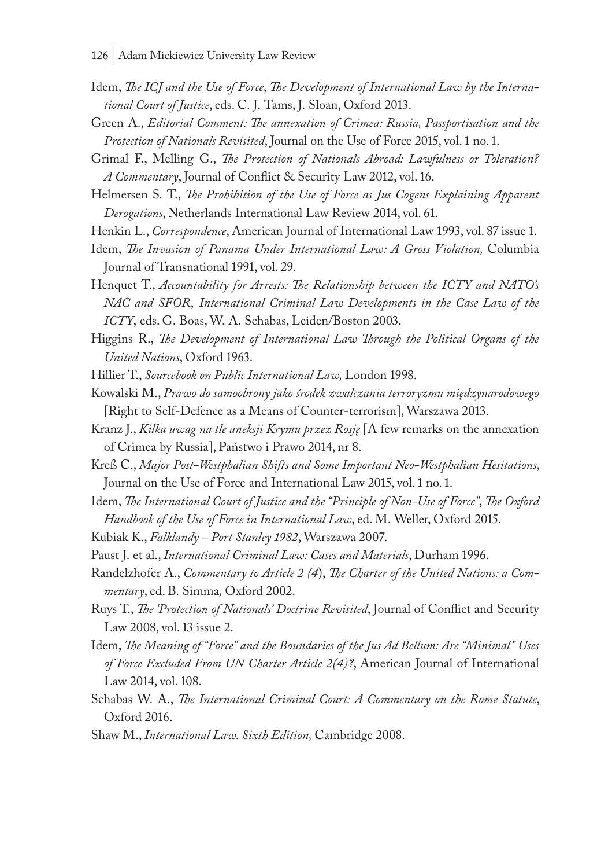- Idem, *The ICJ and the Use of Force*, *The Development of International Law by the International Court of Justice*, eds. C. J. Tams, J. Sloan, Oxford 2013.
- Green A., *Editorial Comment: The annexation of Crimea: Russia, Passportisation and the Protection of Nationals Revisited*, Journal on the Use of Force 2015, vol. 1 no. 1.
- Grimal F., Melling G., *The Protection of Nationals Abroad: Lawfulness or Toleration? A Commentary*, Journal of Conflict & Security Law 2012, vol. 16.
- Helmersen S. T., *The Prohibition of the Use of Force as Jus Cogens Explaining Apparent Derogations*, Netherlands International Law Review 2014, vol. 61.
- Henkin L., *Correspondence*, American Journal of International Law 1993, vol. 87 issue 1.
- Idem, *The Invasion of Panama Under International Law: A Gross Violation,* Columbia Journal of Transnational 1991, vol. 29.
- Henquet T., *Accountability for Arrests: The Relationship between the ICTY and NATO's NAC and SFOR*, *International Criminal Law Developments in the Case Law of the ICTY*, eds. G. Boas, W. A. Schabas, Leiden/Boston 2003.
- Higgins R., *The Development of International Law Through the Political Organs of the United Nations*, Oxford 1963.

Hillier T., *Sourcebook on Public International Law,* London 1998.

- Kowalski M., *Prawo do samoobrony jako środek zwalczania terroryzmu międzynarodowego* [Right to Self-Defence as a Means of Counter-terrorism], Warszawa 2013.
- Kranz J., *Kilka uwag na tle aneksji Krymu przez Rosję* [A few remarks on the annexation of Crimea by Russia], Państwo i Prawo 2014, nr 8.
- Kreß C., *Major Post-Westphalian Shifts and Some Important Neo-Westphalian Hesitations*, Journal on the Use of Force and International Law 2015, vol. 1 no. 1.
- Idem, *The International Court of Justice and the "Principle of Non-Use of Force"*, *The Oxford Handbook of the Use of Force in International Law*, ed. M. Weller, Oxford 2015.
- Kubiak K., *Falklandy Port Stanley 1982*, Warszawa 2007.
- Paust J. et al., *International Criminal Law: Cases and Materials*, Durham 1996.
- Randelzhofer A., *Commentary to Article 2 (4*), *The Charter of the United Nations: a Commentary*, ed. B. Simma*,* Oxford 2002.
- Ruys T., *The 'Protection of Nationals' Doctrine Revisited*, Journal of Conflict and Security Law 2008, vol. 13 issue 2.
- Idem, *The Meaning of "Force" and the Boundaries of the Jus Ad Bellum: Are "Minimal" Uses of Force Excluded From UN Charter Article 2(4)?*, American Journal of International Law 2014, vol. 108.
- Schabas W. A., *The International Criminal Court: A Commentary on the Rome Statute*, Oxford 2016.
- Shaw M., *International Law. Sixth Edition,* Cambridge 2008.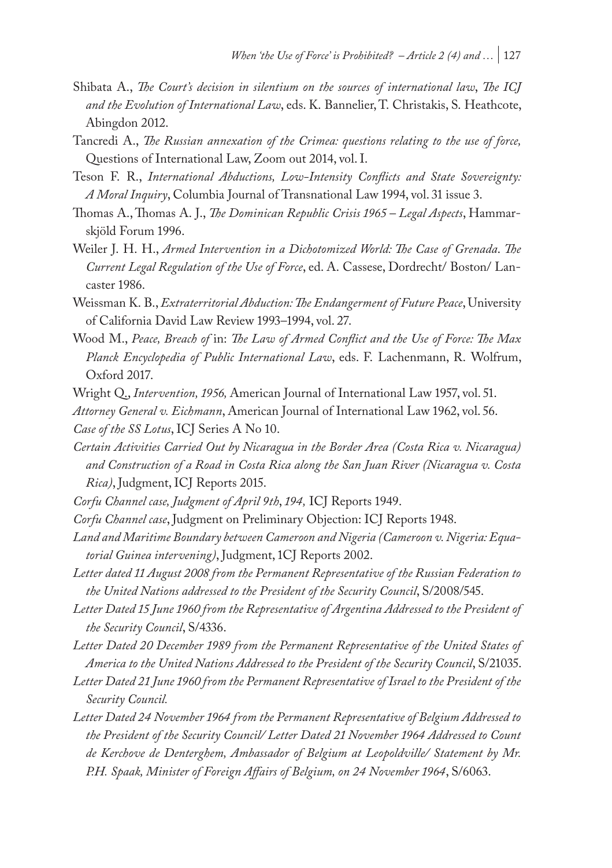- Shibata A., *The Court's decision in silentium on the sources of international law*, *The ICJ and the Evolution of International Law*, eds. K. Bannelier, T. Christakis, S. Heathcote, Abingdon 2012.
- Tancredi A., *The Russian annexation of the Crimea: questions relating to the use of force,*  Questions of International Law, Zoom out 2014, vol. I.
- Teson F. R., *International Abductions, Low-Intensity Conflicts and State Sovereignty: A Moral Inquiry*, Columbia Journal of Transnational Law 1994, vol. 31 issue 3.
- Thomas A., Thomas A. J., *The Dominican Republic Crisis 1965 Legal Aspects*, Hammarskjöld Forum 1996.
- Weiler J. H. H., *Armed Intervention in a Dichotomized World: The Case of Grenada*. *The Current Legal Regulation of the Use of Force*, ed. A. Cassese, Dordrecht/ Boston/ Lancaster 1986.
- Weissman K. B., *Extraterritorial Abduction: The Endangerment of Future Peace*, University of California David Law Review 1993–1994, vol. 27.
- Wood M., *Peace, Breach of* in: *The Law of Armed Conflict and the Use of Force: The Max Planck Encyclopedia of Public International Law*, eds. F. Lachenmann, R. Wolfrum, Oxford 2017.
- Wright Q., *Intervention, 1956,* American Journal of International Law 1957, vol. 51.
- *Attorney General v. Eichmann*, American Journal of International Law 1962, vol. 56. *Case of the SS Lotus*, ICJ Series A No 10.
- *Certain Activities Carried Out by Nicaragua in the Border Area (Costa Rica v. Nicaragua) and Construction of a Road in Costa Rica along the San Juan River (Nicaragua v. Costa Rica)*, Judgment, ICJ Reports 2015.
- *Corfu Channel case, Judgment of April 9th*, *194,* ICJ Reports 1949.
- *Corfu Channel case*, Judgment on Preliminary Objection: ICJ Reports 1948.
- *Land and Maritime Boundary between Cameroon and Nigeria (Cameroon v. Nigeria: Equatorial Guinea intervening)*, Judgment, 1CJ Reports 2002.
- *Letter dated 11 August 2008 from the Permanent Representative of the Russian Federation to the United Nations addressed to the President of the Security Council*, S/2008/545.
- *Letter Dated 15 June 1960 from the Representative of Argentina Addressed to the President of the Security Council*, S/4336.
- *Letter Dated 20 December 1989 from the Permanent Representative of the United States of America to the United Nations Addressed to the President of the Security Council*, S/21035.
- *Letter Dated 21 June 1960 from the Permanent Representative of Israel to the President of the Security Council.*
- *Letter Dated 24 November 1964 from the Permanent Representative of Belgium Addressed to the President of the Security Council/ Letter Dated 21 November 1964 Addressed to Count de Kerchove de Denterghem, Ambassador of Belgium at Leopoldville/ Statement by Mr. P.H. Spaak, Minister of Foreign Affairs of Belgium, on 24 November 1964*, S/6063.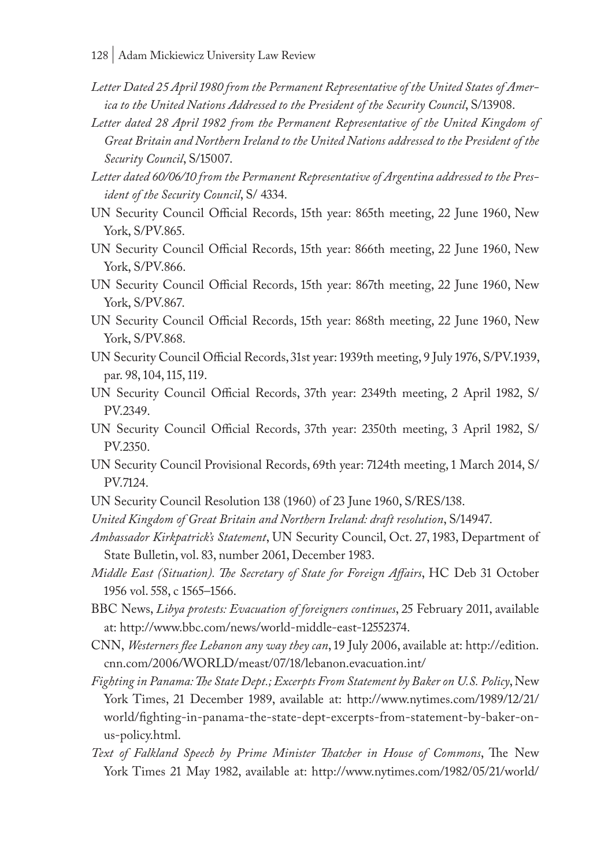- *Letter Dated 25 April 1980 from the Permanent Representative of the United States of America to the United Nations Addressed to the President of the Security Council*, S/13908.
- Letter dated 28 April 1982 from the Permanent Representative of the United Kingdom of *Great Britain and Northern Ireland to the United Nations addressed to the President of the Security Council*, S/15007.
- *Letter dated 60/06/10 from the Permanent Representative of Argentina addressed to the President of the Security Council*, S/ 4334.
- UN Security Council Official Records, 15th year: 865th meeting, 22 June 1960, New York, S/PV.865.
- UN Security Council Official Records, 15th year: 866th meeting, 22 June 1960, New York, S/PV.866.
- UN Security Council Official Records, 15th year: 867th meeting, 22 June 1960, New York, S/PV.867.
- UN Security Council Official Records, 15th year: 868th meeting, 22 June 1960, New York, S/PV.868.
- UN Security Council Official Records, 31st year: 1939th meeting, 9 July 1976, S/PV.1939, par. 98, 104, 115, 119.
- UN Security Council Official Records, 37th year: 2349th meeting, 2 April 1982, S/ PV.2349.
- UN Security Council Official Records, 37th year: 2350th meeting, 3 April 1982, S/ PV.2350.
- UN Security Council Provisional Records, 69th year: 7124th meeting, 1 March 2014, S/ PV.7124.
- UN Security Council Resolution 138 (1960) of 23 June 1960, S/RES/138.
- *United Kingdom of Great Britain and Northern Ireland: draft resolution*, S/14947.
- *Ambassador Kirkpatrick's Statement*, UN Security Council, Oct. 27, 1983, Department of State Bulletin, vol. 83, number 2061, December 1983.
- *Middle East (Situation). The Secretary of State for Foreign Affairs*, HC Deb 31 October 1956 vol. 558, c 1565–1566.
- BBC News, *Libya protests: Evacuation of foreigners continues*, 25 February 2011, available at: http://www.bbc.com/news/world-middle-east-12552374.
- CNN, *Westerners flee Lebanon any way they can*, 19 July 2006, available at: http://edition. cnn.com/2006/WORLD/meast/07/18/lebanon.evacuation.int/
- *Fighting in Panama: The State Dept.; Excerpts From Statement by Baker on U.S. Policy*, New York Times, 21 December 1989, available at: http://www.nytimes.com/1989/12/21/ world/fighting-in-panama-the-state-dept-excerpts-from-statement-by-baker-onus-policy.html.
- *Text of Falkland Speech by Prime Minister Thatcher in House of Commons*, The New York Times 21 May 1982, available at: http://www.nytimes.com/1982/05/21/world/